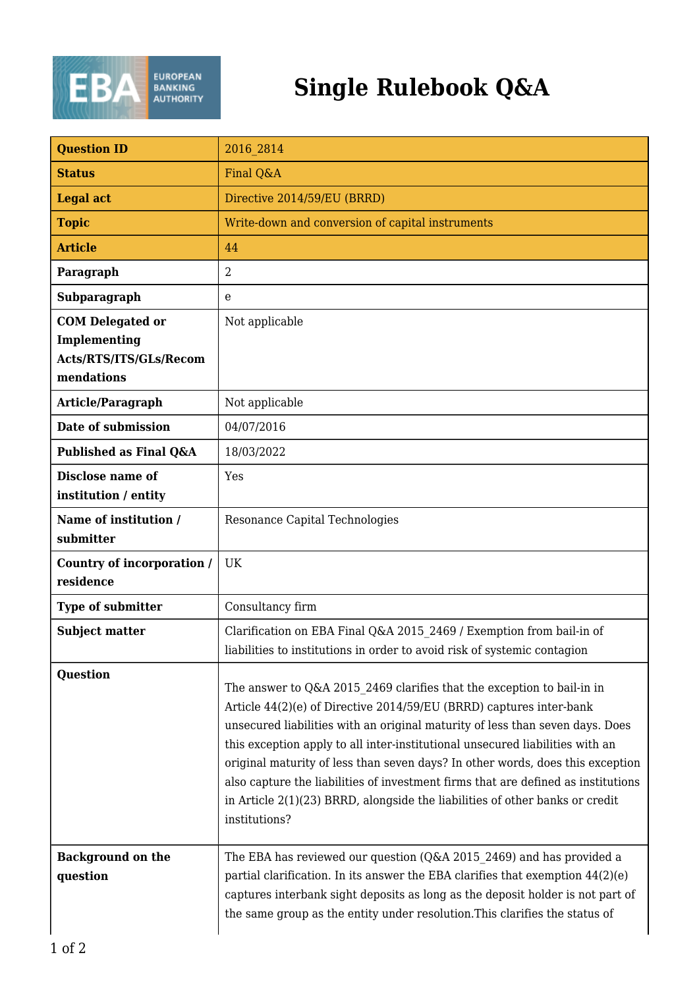

## **Single Rulebook Q&A**

| <b>Question ID</b>                                                              | 2016 2814                                                                                                                                                                                                                                                                                                                                                                                                                                                                                                                                                                               |
|---------------------------------------------------------------------------------|-----------------------------------------------------------------------------------------------------------------------------------------------------------------------------------------------------------------------------------------------------------------------------------------------------------------------------------------------------------------------------------------------------------------------------------------------------------------------------------------------------------------------------------------------------------------------------------------|
| <b>Status</b>                                                                   | Final Q&A                                                                                                                                                                                                                                                                                                                                                                                                                                                                                                                                                                               |
| <b>Legal act</b>                                                                | Directive 2014/59/EU (BRRD)                                                                                                                                                                                                                                                                                                                                                                                                                                                                                                                                                             |
| <b>Topic</b>                                                                    | Write-down and conversion of capital instruments                                                                                                                                                                                                                                                                                                                                                                                                                                                                                                                                        |
| <b>Article</b>                                                                  | 44                                                                                                                                                                                                                                                                                                                                                                                                                                                                                                                                                                                      |
| Paragraph                                                                       | $\overline{2}$                                                                                                                                                                                                                                                                                                                                                                                                                                                                                                                                                                          |
| Subparagraph                                                                    | e                                                                                                                                                                                                                                                                                                                                                                                                                                                                                                                                                                                       |
| <b>COM Delegated or</b><br>Implementing<br>Acts/RTS/ITS/GLs/Recom<br>mendations | Not applicable                                                                                                                                                                                                                                                                                                                                                                                                                                                                                                                                                                          |
| Article/Paragraph                                                               | Not applicable                                                                                                                                                                                                                                                                                                                                                                                                                                                                                                                                                                          |
| Date of submission                                                              | 04/07/2016                                                                                                                                                                                                                                                                                                                                                                                                                                                                                                                                                                              |
| Published as Final Q&A                                                          | 18/03/2022                                                                                                                                                                                                                                                                                                                                                                                                                                                                                                                                                                              |
| Disclose name of<br>institution / entity                                        | Yes                                                                                                                                                                                                                                                                                                                                                                                                                                                                                                                                                                                     |
| Name of institution /<br>submitter                                              | Resonance Capital Technologies                                                                                                                                                                                                                                                                                                                                                                                                                                                                                                                                                          |
| Country of incorporation /<br>residence                                         | <b>UK</b>                                                                                                                                                                                                                                                                                                                                                                                                                                                                                                                                                                               |
| Type of submitter                                                               | Consultancy firm                                                                                                                                                                                                                                                                                                                                                                                                                                                                                                                                                                        |
| <b>Subject matter</b>                                                           | Clarification on EBA Final Q&A 2015 2469 / Exemption from bail-in of<br>liabilities to institutions in order to avoid risk of systemic contagion                                                                                                                                                                                                                                                                                                                                                                                                                                        |
| <b>Question</b>                                                                 | The answer to Q&A 2015 2469 clarifies that the exception to bail-in in<br>Article 44(2)(e) of Directive 2014/59/EU (BRRD) captures inter-bank<br>unsecured liabilities with an original maturity of less than seven days. Does<br>this exception apply to all inter-institutional unsecured liabilities with an<br>original maturity of less than seven days? In other words, does this exception<br>also capture the liabilities of investment firms that are defined as institutions<br>in Article 2(1)(23) BRRD, alongside the liabilities of other banks or credit<br>institutions? |
| <b>Background on the</b><br>question                                            | The EBA has reviewed our question (Q&A 2015 2469) and has provided a<br>partial clarification. In its answer the EBA clarifies that exemption 44(2)(e)<br>captures interbank sight deposits as long as the deposit holder is not part of<br>the same group as the entity under resolution. This clarifies the status of                                                                                                                                                                                                                                                                 |